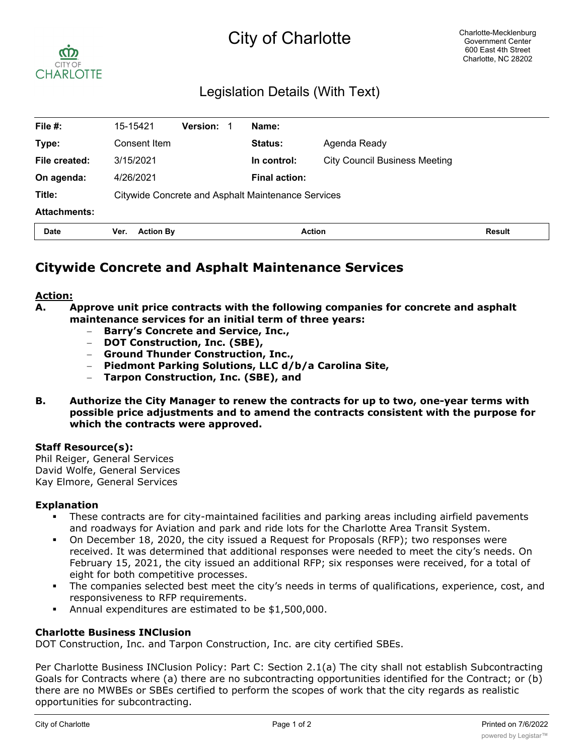# City of Charlotte



## Legislation Details (With Text)

| File #:             | 15-15421                                                  | <b>Version:</b> |  | Name:                |                                      |               |
|---------------------|-----------------------------------------------------------|-----------------|--|----------------------|--------------------------------------|---------------|
| Type:               | Consent Item                                              |                 |  | Status:              | Agenda Ready                         |               |
| File created:       | 3/15/2021                                                 |                 |  | In control:          | <b>City Council Business Meeting</b> |               |
| On agenda:          | 4/26/2021                                                 |                 |  | <b>Final action:</b> |                                      |               |
| Title:              | <b>Citywide Concrete and Asphalt Maintenance Services</b> |                 |  |                      |                                      |               |
| <b>Attachments:</b> |                                                           |                 |  |                      |                                      |               |
| <b>Date</b>         | <b>Action By</b><br>Ver.                                  |                 |  | <b>Action</b>        |                                      | <b>Result</b> |

## **Citywide Concrete and Asphalt Maintenance Services**

#### **Action:**

- **A. Approve unit price contracts with the following companies for concrete and asphalt maintenance services for an initial term of three years:**
	- **Barry's Concrete and Service, Inc.,**
	- **DOT Construction, Inc. (SBE),**
	- **Ground Thunder Construction, Inc.,**
	- **Piedmont Parking Solutions, LLC d/b/a Carolina Site,**
	- **Tarpon Construction, Inc. (SBE), and**
- **B. Authorize the City Manager to renew the contracts for up to two, one-year terms with possible price adjustments and to amend the contracts consistent with the purpose for which the contracts were approved.**

#### **Staff Resource(s):**

Phil Reiger, General Services David Wolfe, General Services Kay Elmore, General Services

#### **Explanation**

- These contracts are for city-maintained facilities and parking areas including airfield pavements and roadways for Aviation and park and ride lots for the Charlotte Area Transit System.
- § On December 18, 2020, the city issued a Request for Proposals (RFP); two responses were received. It was determined that additional responses were needed to meet the city's needs. On February 15, 2021, the city issued an additional RFP; six responses were received, for a total of eight for both competitive processes.
- The companies selected best meet the city's needs in terms of qualifications, experience, cost, and responsiveness to RFP requirements.
- § Annual expenditures are estimated to be \$1,500,000.

#### **Charlotte Business INClusion**

DOT Construction, Inc. and Tarpon Construction, Inc. are city certified SBEs.

Per Charlotte Business INClusion Policy: Part C: Section 2.1(a) The city shall not establish Subcontracting Goals for Contracts where (a) there are no subcontracting opportunities identified for the Contract; or (b) there are no MWBEs or SBEs certified to perform the scopes of work that the city regards as realistic opportunities for subcontracting.